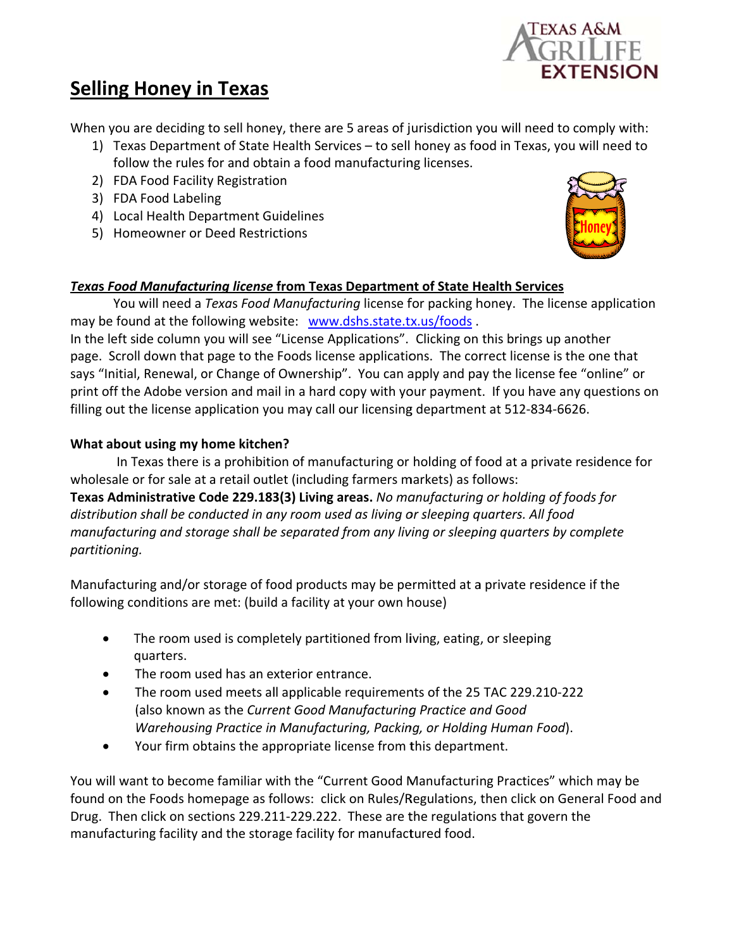

# **Selling Honey in Texas**

When you are deciding to sell honey, there are 5 areas of jurisdiction you will need to comply with:

- 1) Texas Department of State Health Services to sell honey as food in Texas, you will need to follow the rules for and obtain a food manufacturing licenses.
- 2) FDA Food Facility Registration
- 3) FDA Food Labeling
- 4) Local Health Department Guidelines
- 5) Homeowner or Deed Restrictions



## Texas Food Manufacturing license from Texas Department of State Health Services

You will need a Texas Food Manufacturing license for packing honey. The license application may be found at the following website: www.dshs.state.tx.us/foods.

In the left side column you will see "License Applications". Clicking on this brings up another page. Scroll down that page to the Foods license applications. The correct license is the one that says "Initial, Renewal, or Change of Ownership". You can apply and pay the license fee "online" or print off the Adobe version and mail in a hard copy with your payment. If you have any questions on filling out the license application you may call our licensing department at 512-834-6626.

### What about using my home kitchen?

In Texas there is a prohibition of manufacturing or holding of food at a private residence for wholesale or for sale at a retail outlet (including farmers markets) as follows:

Texas Administrative Code 229.183(3) Living areas. No manufacturing or holding of foods for distribution shall be conducted in any room used as living or sleeping quarters. All food manufacturing and storage shall be separated from any living or sleeping quarters by complete partitioning.

Manufacturing and/or storage of food products may be permitted at a private residence if the following conditions are met: (build a facility at your own house)

- $\bullet$ The room used is completely partitioned from living, eating, or sleeping quarters.
- The room used has an exterior entrance.
- The room used meets all applicable requirements of the 25 TAC 229.210-222  $\bullet$ (also known as the Current Good Manufacturing Practice and Good Warehousing Practice in Manufacturing, Packing, or Holding Human Food).
- Your firm obtains the appropriate license from this department.  $\bullet$

You will want to become familiar with the "Current Good Manufacturing Practices" which may be found on the Foods homepage as follows: click on Rules/Regulations, then click on General Food and Drug. Then click on sections 229.211-229.222. These are the regulations that govern the manufacturing facility and the storage facility for manufactured food.